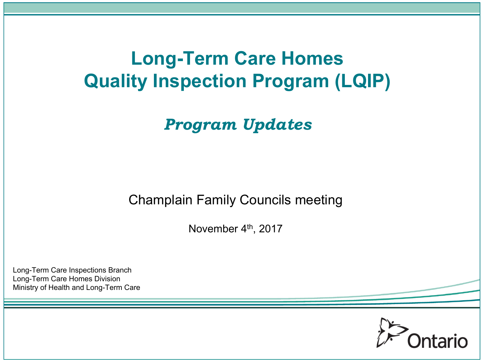# **Long-Term Care Homes Quality Inspection Program (LQIP)**

*Program Updates*

Champlain Family Councils meeting

November 4th, 2017

Long-Term Care Inspections Branch Long-Term Care Homes Division Ministry of Health and Long-Term Care

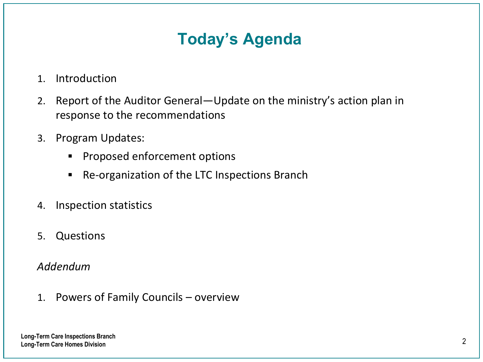### **Today's Agenda**

- 1. Introduction
- 2. Report of the Auditor General—Update on the ministry's action plan in response to the recommendations
- 3. Program Updates:
	- **•** Proposed enforcement options
	- Re-organization of the LTC Inspections Branch
- 4. Inspection statistics
- 5. Questions

#### *Addendum*

1. Powers of Family Councils – overview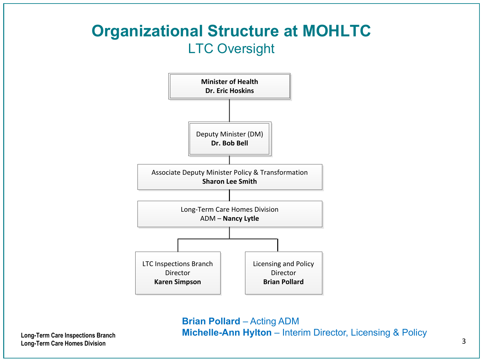#### **Organizational Structure at MOHLTC** LTC Oversight



<sup>3</sup> **Long-Term Care Inspections Branch Michelle-Ann Hylton** – Interim Director, Licensing & Policy**Brian Pollard** – Acting ADM

**Long-Term Care Homes Division**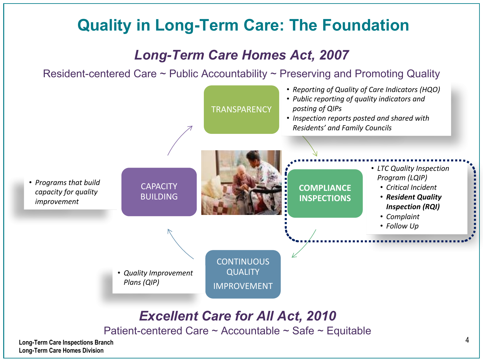#### **Quality in Long-Term Care: The Foundation**

#### *Long-Term Care Homes Act, 2007*

Resident-centered Care ~ Public Accountability ~ Preserving and Promoting Quality



**Long-Term Care Homes Division**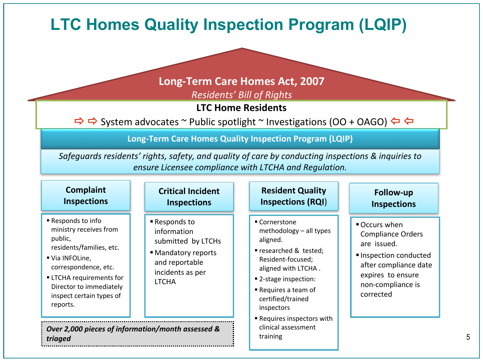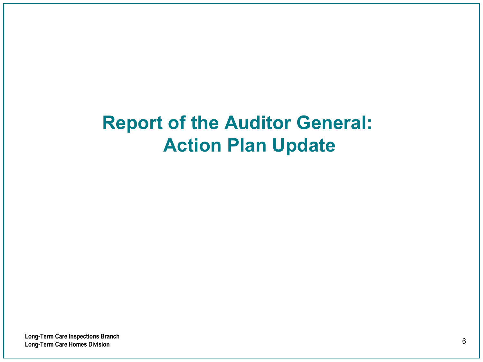# **Report of the Auditor General: Action Plan Update**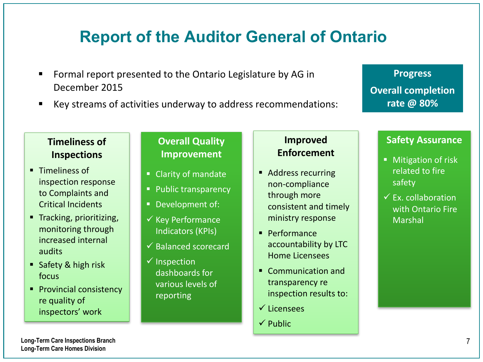#### **Report of the Auditor General of Ontario**

- Formal report presented to the Ontario Legislature by AG in December 2015
- Key streams of activities underway to address recommendations:

**Progress Overall completion rate @ 80%**

#### **Timeliness of Inspections**

- Timeliness of inspection response to Complaints and Critical Incidents
- Tracking, prioritizing, monitoring through increased internal audits
- Safety & high risk focus
- Provincial consistency re quality of inspectors' work

#### **Overall Quality Improvement**

- Clarity of mandate
- Public transparency
- **•** Development of:
- $\checkmark$  Key Performance Indicators (KPIs)
- $\checkmark$  Balanced scorecard
- $\checkmark$  Inspection dashboards for various levels of reporting

#### **Improved Enforcement**

- Address recurring non-compliance through more consistent and timely ministry response
- Performance accountability by LTC Home Licensees
- Communication and transparency re inspection results to:
- $\checkmark$  Licensees
- $\checkmark$  Public

#### **Safety Assurance**

- Mitigation of risk related to fire safety
- $\checkmark$  Ex. collaboration with Ontario Fire Marshal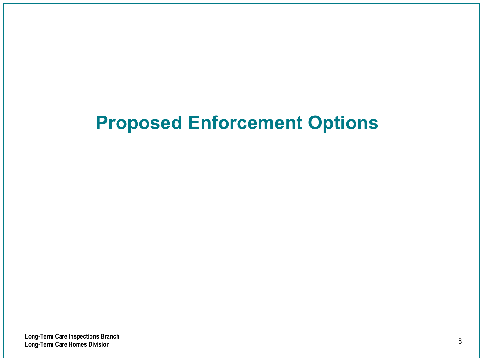# **Proposed Enforcement Options**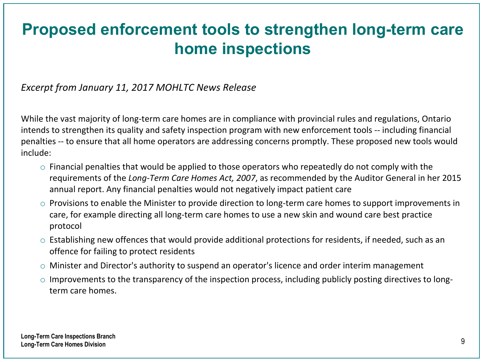#### **Proposed enforcement tools to strengthen long-term care home inspections**

#### Excerpt from January 11, 2017 MOHLTC News Release

While the vast majority of long-term care homes are in compliance with provincial rules and regulations, Ontario intends to strengthen its quality and safety inspection program with new enforcement tools -- including financial penalties -- to ensure that all home operators are addressing concerns promptly. These proposed new tools would include:

- $\circ$  Financial penalties that would be applied to those operators who repeatedly do not comply with the requirements of the *Long-Term Care Homes Act, 2007*, as recommended by the Auditor General in her 2015 annual report. Any financial penalties would not negatively impact patient care
- $\circ$  Provisions to enable the Minister to provide direction to long-term care homes to support improvements in care, for example directing all long-term care homes to use a new skin and wound care best practice protocol
- $\circ$  Establishing new offences that would provide additional protections for residents, if needed, such as an offence for failing to protect residents
- $\circ$  Minister and Director's authority to suspend an operator's licence and order interim management
- $\circ$  Improvements to the transparency of the inspection process, including publicly posting directives to longterm care homes.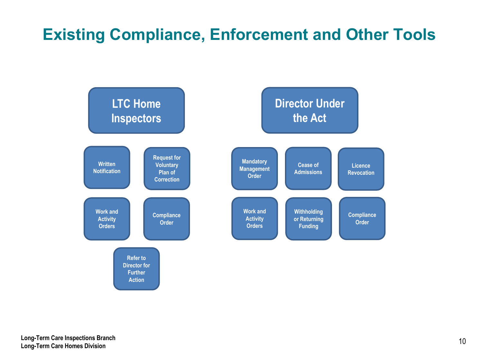### **Existing Compliance, Enforcement and Other Tools**

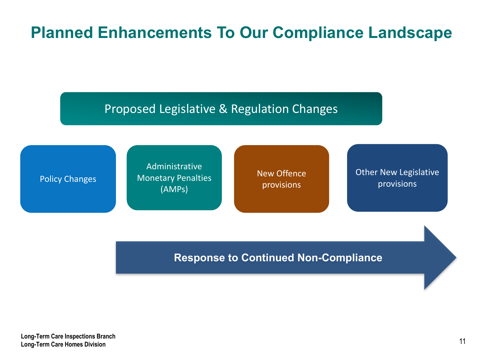### **Planned Enhancements To Our Compliance Landscape**

Proposed Legislative & Regulation Changes

Policy Changes

Administrative **Monetary Penalties** (AMPs)

New Offence provisions

**Other New Legislative** provisions

**Response to Continued Non-Compliance**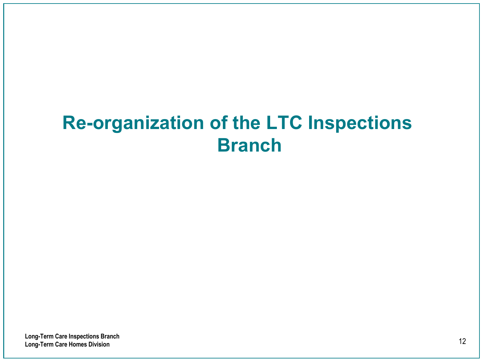# **Re-organization of the LTC Inspections Branch**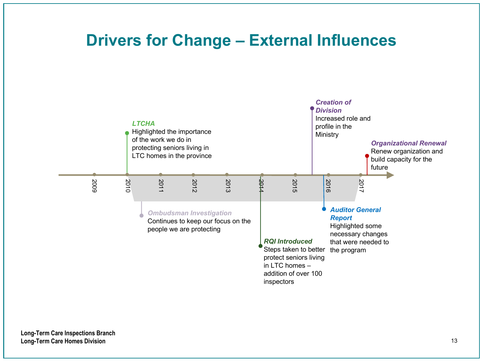#### **Drivers for Change – External Influences**

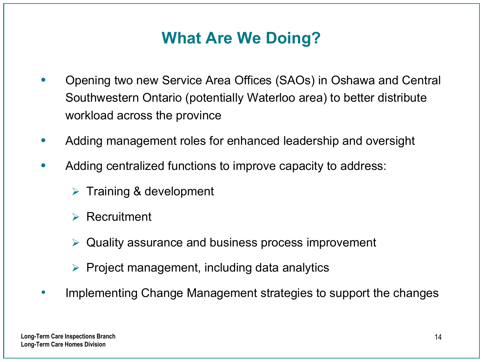### **What Are We Doing?**

- Opening two new Service Area Offices (SAOs) in Oshawa and Central Southwestern Ontario (potentially Waterloo area) to better distribute workload across the province
- Adding management roles for enhanced leadership and oversight
- Adding centralized functions to improve capacity to address:
	- $\triangleright$  Training & development
	- $\triangleright$  Recruitment
	- $\triangleright$  Quality assurance and business process improvement
	- $\triangleright$  Project management, including data analytics
- Implementing Change Management strategies to support the changes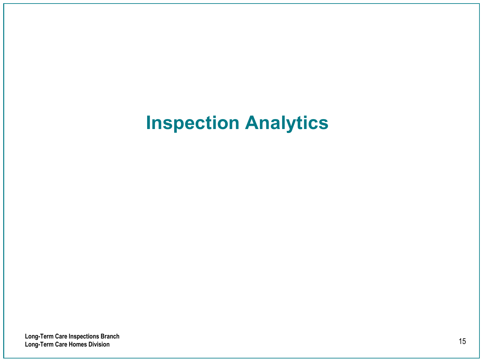# **Inspection Analytics**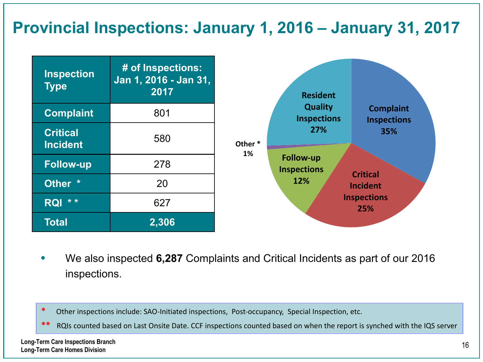#### **Provincial Inspections: January 1, 2016 – January 31, 2017**

| <b>Inspection</b><br><b>Type</b>   | # of Inspections:<br>Jan 1, 2016 - Jan 31,<br>2017 |         | <b>Resident</b>                        |                                               |
|------------------------------------|----------------------------------------------------|---------|----------------------------------------|-----------------------------------------------|
| <b>Complaint</b>                   | 801                                                |         | <b>Quality</b><br><b>Inspections</b>   | <b>Complaint</b><br><b>Inspections</b><br>35% |
| <b>Critical</b><br><b>Incident</b> | 580                                                | Other * | 27%                                    |                                               |
| <b>Follow-up</b>                   | 278                                                | 1%      | <b>Follow-up</b><br><b>Inspections</b> |                                               |
| Other *                            | 20                                                 |         | <b>Critical</b><br><b>Incident</b>     |                                               |
| $* *$<br><b>RQI</b>                | 627                                                |         | <b>Inspections</b><br>25%              |                                               |
| <b>Total</b>                       | 2,306                                              |         |                                        |                                               |

- We also inspected **6,287** Complaints and Critical Incidents as part of our 2016 inspections.
- \* Other inspections include: SAO-Initiated inspections, Post-occupancy, Special Inspection, etc.
- \*\* RQIs counted based on Last Onsite Date. CCF inspections counted based on when the report is synched with the IQS server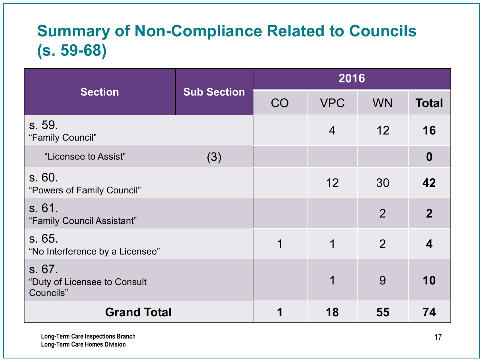### **Summary of Non-Compliance Related to Councils (s. 59-68)**

|                                                     |                    | 2016 |                |                |                  |
|-----------------------------------------------------|--------------------|------|----------------|----------------|------------------|
| <b>Section</b>                                      | <b>Sub Section</b> | CO   | <b>VPC</b>     | <b>WN</b>      | <b>Total</b>     |
| s. 59.<br>"Family Council"                          |                    |      | $\overline{4}$ | 12             | 16               |
| "Licensee to Assist"                                | (3)                |      |                |                | $\boldsymbol{0}$ |
| s.60.<br>"Powers of Family Council"                 |                    |      | 12             | 30             | 42               |
| s. 61.<br>"Family Council Assistant"                |                    |      |                | $\overline{2}$ | $\mathbf{2}$     |
| s. 65.<br>"No Interference by a Licensee"           |                    | 1    | 1              | $\overline{2}$ | 4                |
| s. 67.<br>"Duty of Licensee to Consult<br>Councils" |                    |      | 1              | 9              | 10               |
| <b>Grand Total</b>                                  |                    | 1    | 18             | 55             | 74               |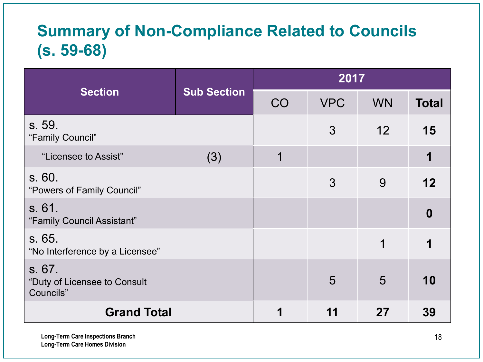### **Summary of Non-Compliance Related to Councils (s. 59-68)**

|                                                     |                    | 2017        |            |           |              |
|-----------------------------------------------------|--------------------|-------------|------------|-----------|--------------|
| <b>Section</b>                                      | <b>Sub Section</b> | CO          | <b>VPC</b> | <b>WN</b> | <b>Total</b> |
| s. 59.<br>"Family Council"                          |                    |             | 3          | 12        | 15           |
| "Licensee to Assist"                                | (3)                | $\mathbf 1$ |            |           | 1            |
| s. 60.<br>"Powers of Family Council"                |                    |             | 3          | 9         | 12           |
| s. 61.<br>"Family Council Assistant"                |                    |             |            |           | $\mathbf{0}$ |
| s. 65.<br>"No Interference by a Licensee"           |                    |             |            | 1         |              |
| s. 67.<br>"Duty of Licensee to Consult<br>Councils" |                    |             | 5          | 5         | 10           |
| <b>Grand Total</b>                                  |                    | 1           | 11         | 27        | 39           |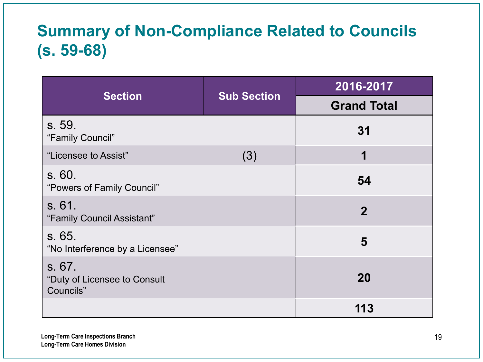### **Summary of Non-Compliance Related to Councils (s. 59-68)**

|                                                      |                    | 2016-2017          |
|------------------------------------------------------|--------------------|--------------------|
| <b>Section</b>                                       | <b>Sub Section</b> | <b>Grand Total</b> |
| s. 59.<br>"Family Council"                           |                    | 31                 |
| "Licensee to Assist"                                 | (3)                | 1                  |
| s.60.<br>"Powers of Family Council"                  |                    | 54                 |
| s. 61.<br>"Family Council Assistant"                 |                    | $\overline{2}$     |
| s. 65.<br>"No Interference by a Licensee"            |                    | 5                  |
| s. 67.<br>"Duty of Licensee to Consult"<br>Councils" |                    | <b>20</b>          |
|                                                      |                    | 113                |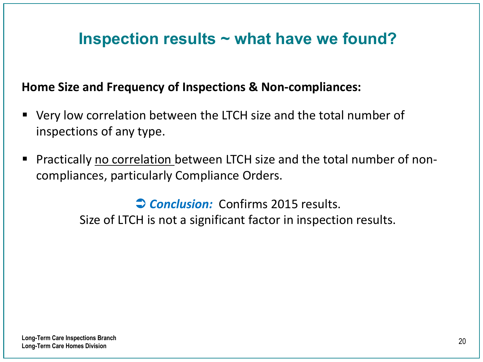#### **Inspection results ~ what have we found?**

#### **Home Size and Frequency of Inspections & Non-compliances:**

- Very low correlation between the LTCH size and the total number of inspections of any type.
- Practically no correlation between LTCH size and the total number of noncompliances, particularly Compliance Orders.

**Conclusion:** Confirms 2015 results. Size of LTCH is not a significant factor in inspection results.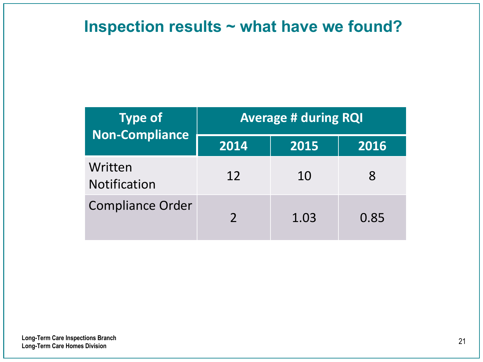#### **Inspection results ~ what have we found?**

| <b>Type of</b><br><b>Non-Compliance</b> | <b>Average # during RQI</b> |      |      |  |
|-----------------------------------------|-----------------------------|------|------|--|
|                                         | 2014                        | 2015 | 2016 |  |
| Written<br><b>Notification</b>          | 12                          | 10   | 8    |  |
| <b>Compliance Order</b>                 | $\overline{\phantom{a}}$    | 1.03 | 0.85 |  |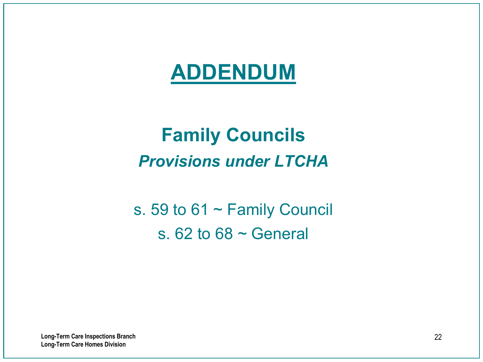# **ADDENDUM**

# **Family Councils**  *Provisions under LTCHA*

s. 59 to 61 ~ Family Council s.  $62$  to  $68 \sim$  General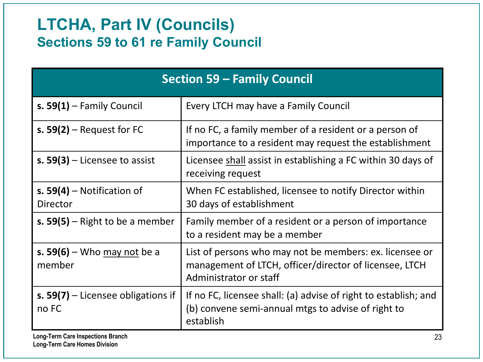#### **LTCHA, Part IV (Councils) Sections 59 to 61 re Family Council**

| <b>Section 59 - Family Council</b>              |                                                                                                                                             |  |
|-------------------------------------------------|---------------------------------------------------------------------------------------------------------------------------------------------|--|
| s. $59(1)$ – Family Council                     | Every LTCH may have a Family Council                                                                                                        |  |
| s. $59(2)$ – Request for FC                     | If no FC, a family member of a resident or a person of<br>importance to a resident may request the establishment                            |  |
| s. $59(3)$ – Licensee to assist                 | Licensee shall assist in establishing a FC within 30 days of<br>receiving request                                                           |  |
| s. $59(4)$ – Notification of<br><b>Director</b> | When FC established, licensee to notify Director within<br>30 days of establishment                                                         |  |
| s. $59(5)$ – Right to be a member               | Family member of a resident or a person of importance<br>to a resident may be a member                                                      |  |
| s. 59(6) – Who $may$ not be a<br>member         | List of persons who may not be members: ex. licensee or<br>management of LTCH, officer/director of licensee, LTCH<br>Administrator or staff |  |
| s. $59(7)$ – Licensee obligations if<br>no FC   | If no FC, licensee shall: (a) advise of right to establish; and<br>(b) convene semi-annual mtgs to advise of right to<br>establish          |  |

**Long-Term Care Homes Division**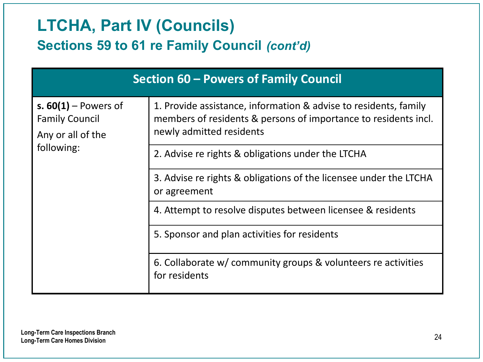#### **LTCHA, Part IV (Councils) Sections 59 to 61 re Family Council** *(cont'd)*

|                                                                                    | Section 60 – Powers of Family Council                                                                                                                           |
|------------------------------------------------------------------------------------|-----------------------------------------------------------------------------------------------------------------------------------------------------------------|
| s. $60(1)$ – Powers of<br><b>Family Council</b><br>Any or all of the<br>following: | 1. Provide assistance, information & advise to residents, family<br>members of residents & persons of importance to residents incl.<br>newly admitted residents |
|                                                                                    | 2. Advise re rights & obligations under the LTCHA                                                                                                               |
|                                                                                    | 3. Advise re rights & obligations of the licensee under the LTCHA<br>or agreement                                                                               |
|                                                                                    | 4. Attempt to resolve disputes between licensee & residents                                                                                                     |
|                                                                                    | 5. Sponsor and plan activities for residents                                                                                                                    |
|                                                                                    | 6. Collaborate w/ community groups & volunteers re activities<br>for residents                                                                                  |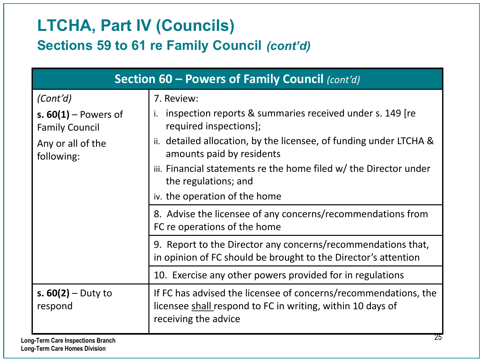### **LTCHA, Part IV (Councils) Sections 59 to 61 re Family Council** *(cont'd)*

| Section 60 - Powers of Family Council (cont'd)  |                                                                                                                                                       |  |
|-------------------------------------------------|-------------------------------------------------------------------------------------------------------------------------------------------------------|--|
| (Cont'd)                                        | 7. Review:                                                                                                                                            |  |
| s. $60(1)$ – Powers of<br><b>Family Council</b> | inspection reports & summaries received under s. 149 [re<br>i.<br>required inspections];                                                              |  |
| Any or all of the<br>following:                 | ii. detailed allocation, by the licensee, of funding under LTCHA &<br>amounts paid by residents                                                       |  |
|                                                 | iii. Financial statements re the home filed w/ the Director under<br>the regulations; and                                                             |  |
|                                                 | iv. the operation of the home                                                                                                                         |  |
|                                                 | 8. Advise the licensee of any concerns/recommendations from<br>FC re operations of the home                                                           |  |
|                                                 | 9. Report to the Director any concerns/recommendations that,<br>in opinion of FC should be brought to the Director's attention                        |  |
|                                                 | 10. Exercise any other powers provided for in regulations                                                                                             |  |
| s. $60(2) -$ Duty to<br>respond                 | If FC has advised the licensee of concerns/recommendations, the<br>licensee shall respond to FC in writing, within 10 days of<br>receiving the advice |  |
| וח-Term Care Inspections Branch                 | 25                                                                                                                                                    |  |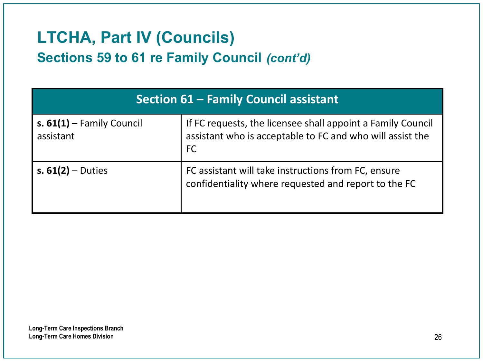### **LTCHA, Part IV (Councils) Sections 59 to 61 re Family Council** *(cont'd)*

| <b>Section 61 - Family Council assistant</b> |                                                                                                                                       |  |
|----------------------------------------------|---------------------------------------------------------------------------------------------------------------------------------------|--|
| s. $61(1)$ – Family Council<br>assistant     | If FC requests, the licensee shall appoint a Family Council<br>assistant who is acceptable to FC and who will assist the<br><b>FC</b> |  |
| s. $61(2) -$ Duties                          | FC assistant will take instructions from FC, ensure<br>confidentiality where requested and report to the FC                           |  |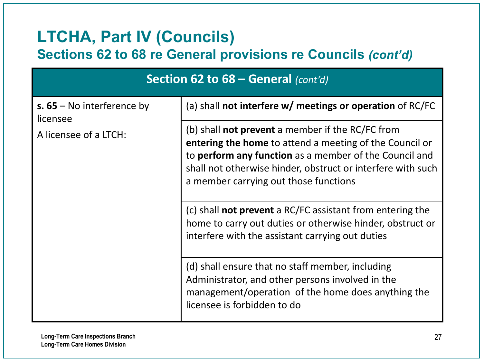#### **LTCHA, Part IV (Councils)**

#### **Sections 62 to 68 re General provisions re Councils** *(cont'd)*

| Section 62 to 68 – General (cont'd)                               |                                                                                                                                                                                                                                                                                             |  |
|-------------------------------------------------------------------|---------------------------------------------------------------------------------------------------------------------------------------------------------------------------------------------------------------------------------------------------------------------------------------------|--|
| s. $65 -$ No interference by<br>licensee<br>A licensee of a LTCH: | (a) shall not interfere $w/$ meetings or operation of RC/FC                                                                                                                                                                                                                                 |  |
|                                                                   | (b) shall <b>not prevent</b> a member if the RC/FC from<br><b>entering the home</b> to attend a meeting of the Council or<br>to perform any function as a member of the Council and<br>shall not otherwise hinder, obstruct or interfere with such<br>a member carrying out those functions |  |
|                                                                   | (c) shall <b>not prevent</b> a RC/FC assistant from entering the<br>home to carry out duties or otherwise hinder, obstruct or<br>interfere with the assistant carrying out duties                                                                                                           |  |
|                                                                   | (d) shall ensure that no staff member, including<br>Administrator, and other persons involved in the<br>management/operation of the home does anything the<br>licensee is forbidden to do                                                                                                   |  |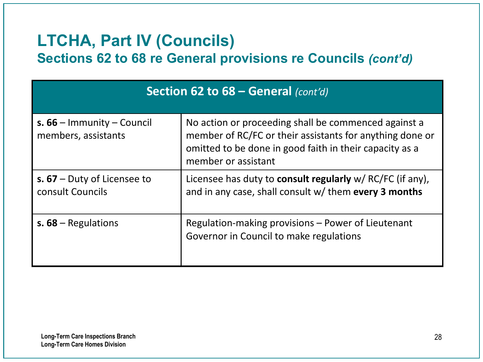### **LTCHA, Part IV (Councils)**

**Sections 62 to 68 re General provisions re Councils** *(cont'd)*

| Section 62 to 68 – General (cont'd)                 |                                                                                                                                                                                                    |  |
|-----------------------------------------------------|----------------------------------------------------------------------------------------------------------------------------------------------------------------------------------------------------|--|
| s. $66$ – Immunity – Council<br>members, assistants | No action or proceeding shall be commenced against a<br>member of RC/FC or their assistants for anything done or<br>omitted to be done in good faith in their capacity as a<br>member or assistant |  |
| s. $67$ – Duty of Licensee to<br>consult Councils   | Licensee has duty to <b>consult regularly</b> w/ RC/FC (if any),<br>and in any case, shall consult w/ them every 3 months                                                                          |  |
| s. $68 -$ Regulations                               | Regulation-making provisions - Power of Lieutenant<br>Governor in Council to make regulations                                                                                                      |  |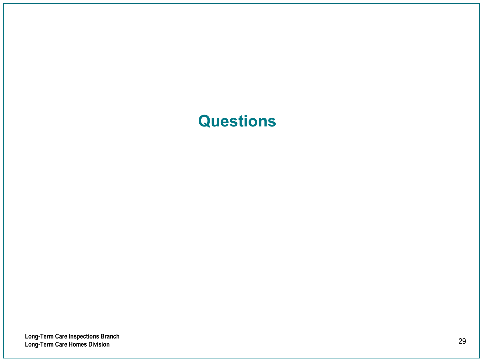#### **Questions**